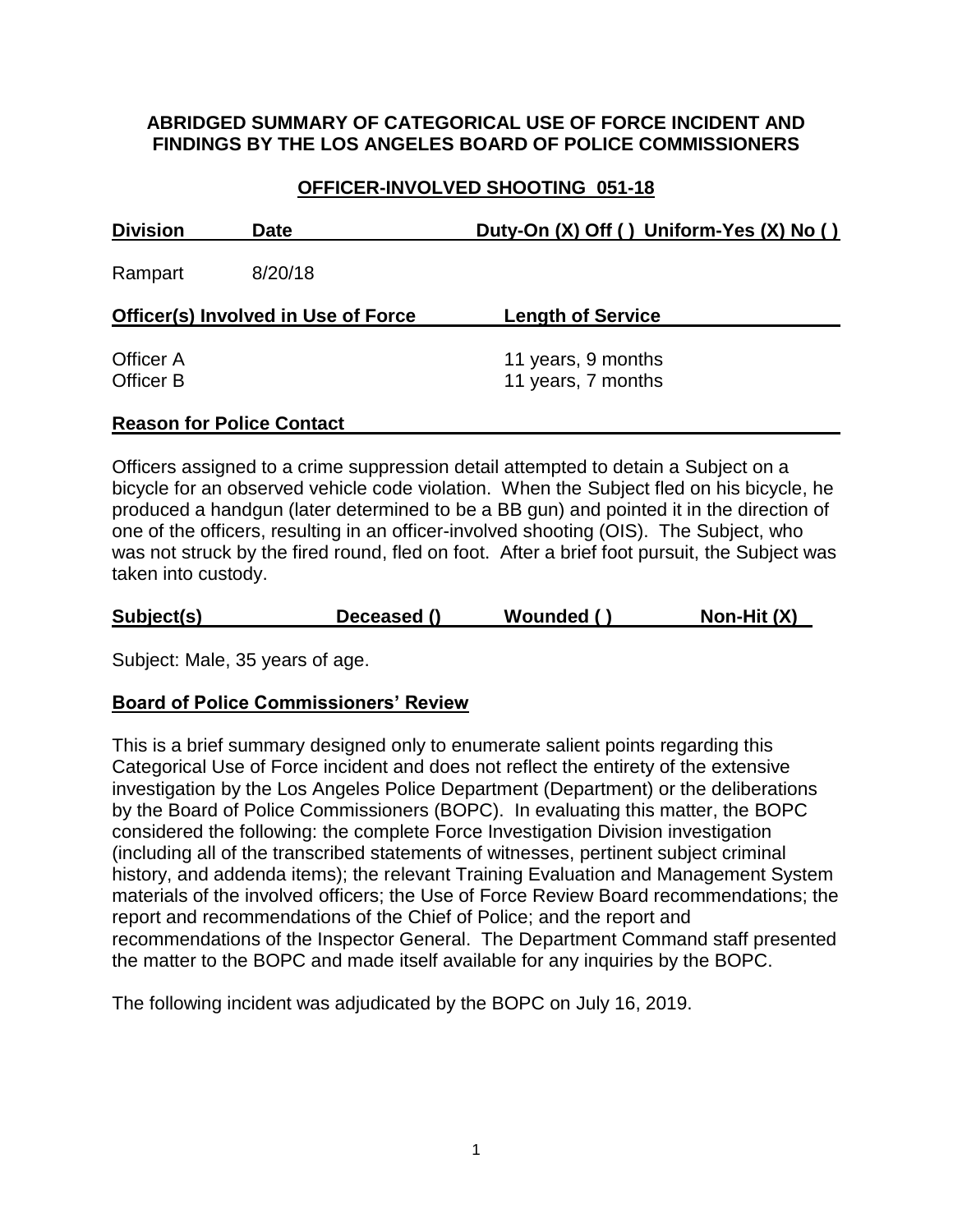### **ABRIDGED SUMMARY OF CATEGORICAL USE OF FORCE INCIDENT AND FINDINGS BY THE LOS ANGELES BOARD OF POLICE COMMISSIONERS**

# **OFFICER-INVOLVED SHOOTING 051-18**

| <b>Division</b><br><b>Date</b><br>8/20/18<br>Rampart |  | Duty-On (X) Off () Uniform-Yes (X) No () |  |
|------------------------------------------------------|--|------------------------------------------|--|
|                                                      |  |                                          |  |
| <b>Officer(s) Involved in Use of Force</b>           |  | <b>Length of Service</b>                 |  |
| Officer A<br>Officer B                               |  | 11 years, 9 months<br>11 years, 7 months |  |

#### **Reason for Police Contact**

Officers assigned to a crime suppression detail attempted to detain a Subject on a bicycle for an observed vehicle code violation. When the Subject fled on his bicycle, he produced a handgun (later determined to be a BB gun) and pointed it in the direction of one of the officers, resulting in an officer-involved shooting (OIS). The Subject, who was not struck by the fired round, fled on foot. After a brief foot pursuit, the Subject was taken into custody.

|  | Subject(s) | Deceased () | Wounded () | Non-Hit (X) |
|--|------------|-------------|------------|-------------|
|--|------------|-------------|------------|-------------|

Subject: Male, 35 years of age.

#### **Board of Police Commissioners' Review**

This is a brief summary designed only to enumerate salient points regarding this Categorical Use of Force incident and does not reflect the entirety of the extensive investigation by the Los Angeles Police Department (Department) or the deliberations by the Board of Police Commissioners (BOPC). In evaluating this matter, the BOPC considered the following: the complete Force Investigation Division investigation (including all of the transcribed statements of witnesses, pertinent subject criminal history, and addenda items); the relevant Training Evaluation and Management System materials of the involved officers; the Use of Force Review Board recommendations; the report and recommendations of the Chief of Police; and the report and recommendations of the Inspector General. The Department Command staff presented the matter to the BOPC and made itself available for any inquiries by the BOPC.

The following incident was adjudicated by the BOPC on July 16, 2019.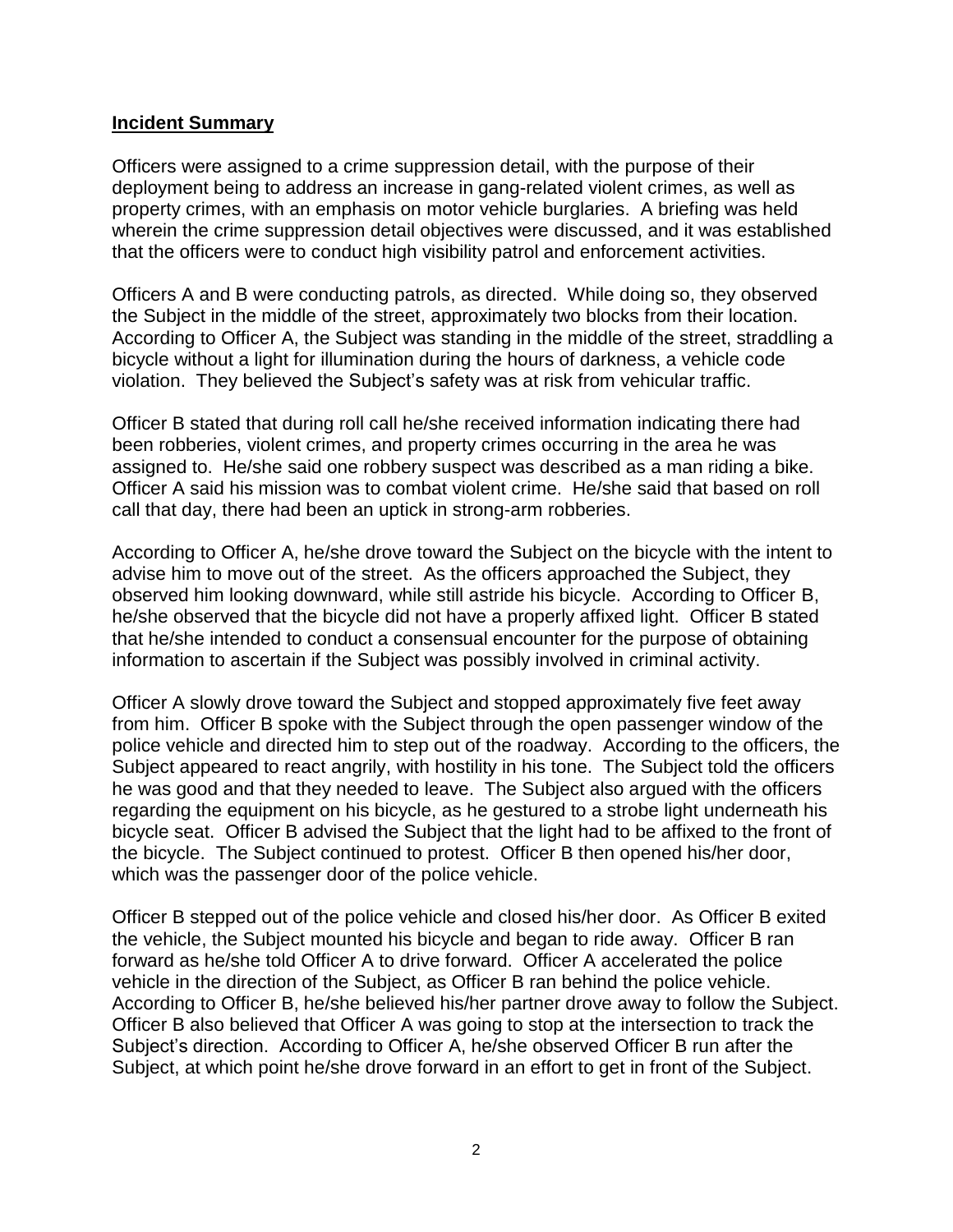#### **Incident Summary**

Officers were assigned to a crime suppression detail, with the purpose of their deployment being to address an increase in gang-related violent crimes, as well as property crimes, with an emphasis on motor vehicle burglaries. A briefing was held wherein the crime suppression detail objectives were discussed, and it was established that the officers were to conduct high visibility patrol and enforcement activities.

Officers A and B were conducting patrols, as directed. While doing so, they observed the Subject in the middle of the street, approximately two blocks from their location. According to Officer A, the Subject was standing in the middle of the street, straddling a bicycle without a light for illumination during the hours of darkness, a vehicle code violation. They believed the Subject's safety was at risk from vehicular traffic.

Officer B stated that during roll call he/she received information indicating there had been robberies, violent crimes, and property crimes occurring in the area he was assigned to. He/she said one robbery suspect was described as a man riding a bike. Officer A said his mission was to combat violent crime. He/she said that based on roll call that day, there had been an uptick in strong-arm robberies.

According to Officer A, he/she drove toward the Subject on the bicycle with the intent to advise him to move out of the street. As the officers approached the Subject, they observed him looking downward, while still astride his bicycle. According to Officer B, he/she observed that the bicycle did not have a properly affixed light. Officer B stated that he/she intended to conduct a consensual encounter for the purpose of obtaining information to ascertain if the Subject was possibly involved in criminal activity.

Officer A slowly drove toward the Subject and stopped approximately five feet away from him. Officer B spoke with the Subject through the open passenger window of the police vehicle and directed him to step out of the roadway. According to the officers, the Subject appeared to react angrily, with hostility in his tone. The Subject told the officers he was good and that they needed to leave. The Subject also argued with the officers regarding the equipment on his bicycle, as he gestured to a strobe light underneath his bicycle seat. Officer B advised the Subject that the light had to be affixed to the front of the bicycle. The Subject continued to protest. Officer B then opened his/her door, which was the passenger door of the police vehicle.

Officer B stepped out of the police vehicle and closed his/her door. As Officer B exited the vehicle, the Subject mounted his bicycle and began to ride away. Officer B ran forward as he/she told Officer A to drive forward. Officer A accelerated the police vehicle in the direction of the Subject, as Officer B ran behind the police vehicle. According to Officer B, he/she believed his/her partner drove away to follow the Subject. Officer B also believed that Officer A was going to stop at the intersection to track the Subject's direction. According to Officer A, he/she observed Officer B run after the Subject, at which point he/she drove forward in an effort to get in front of the Subject.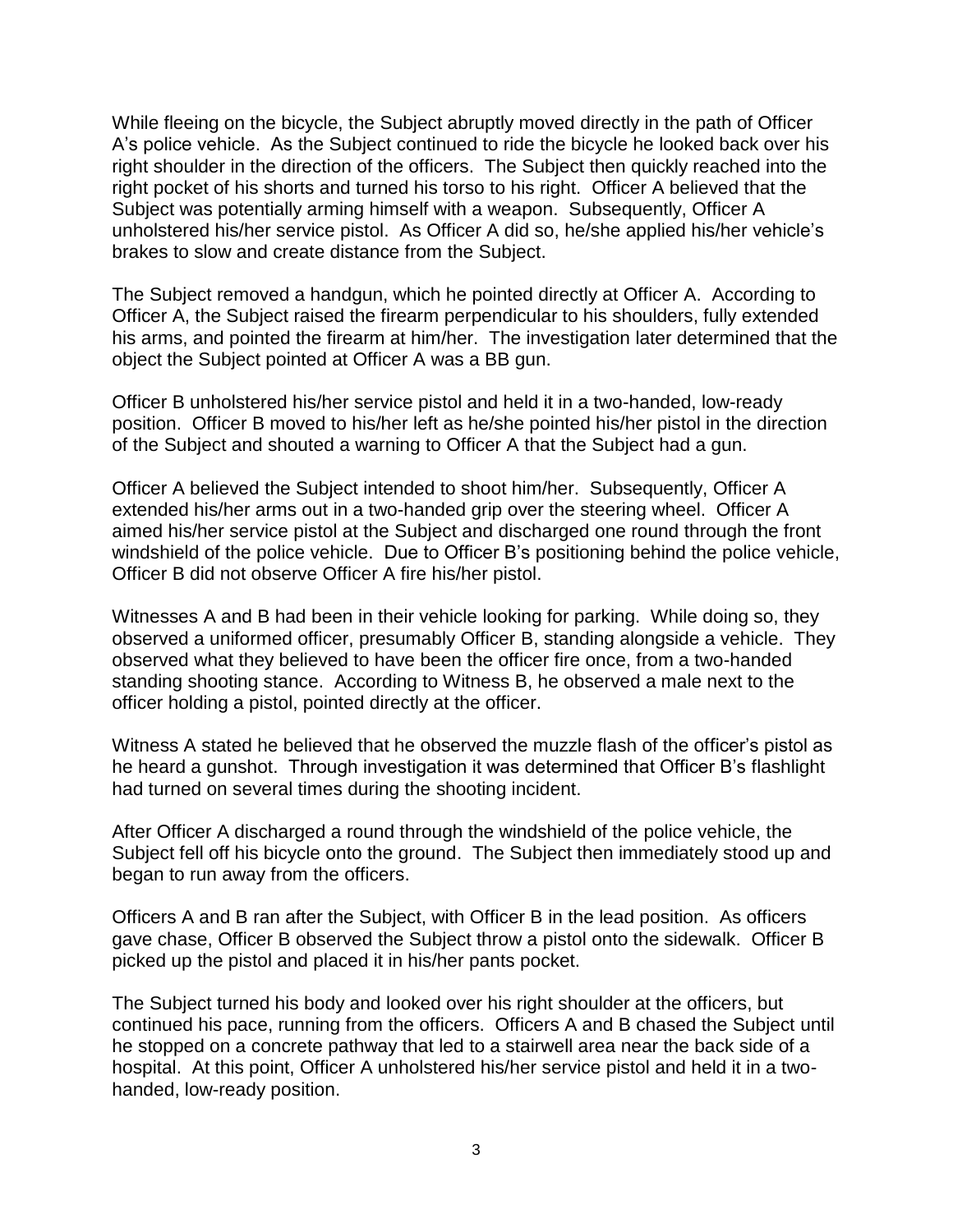While fleeing on the bicycle, the Subject abruptly moved directly in the path of Officer A's police vehicle. As the Subject continued to ride the bicycle he looked back over his right shoulder in the direction of the officers. The Subject then quickly reached into the right pocket of his shorts and turned his torso to his right. Officer A believed that the Subject was potentially arming himself with a weapon. Subsequently, Officer A unholstered his/her service pistol. As Officer A did so, he/she applied his/her vehicle's brakes to slow and create distance from the Subject.

The Subject removed a handgun, which he pointed directly at Officer A. According to Officer A, the Subject raised the firearm perpendicular to his shoulders, fully extended his arms, and pointed the firearm at him/her. The investigation later determined that the object the Subject pointed at Officer A was a BB gun.

Officer B unholstered his/her service pistol and held it in a two-handed, low-ready position. Officer B moved to his/her left as he/she pointed his/her pistol in the direction of the Subject and shouted a warning to Officer A that the Subject had a gun.

Officer A believed the Subject intended to shoot him/her. Subsequently, Officer A extended his/her arms out in a two-handed grip over the steering wheel. Officer A aimed his/her service pistol at the Subject and discharged one round through the front windshield of the police vehicle. Due to Officer B's positioning behind the police vehicle, Officer B did not observe Officer A fire his/her pistol.

Witnesses A and B had been in their vehicle looking for parking. While doing so, they observed a uniformed officer, presumably Officer B, standing alongside a vehicle. They observed what they believed to have been the officer fire once, from a two-handed standing shooting stance. According to Witness B, he observed a male next to the officer holding a pistol, pointed directly at the officer.

Witness A stated he believed that he observed the muzzle flash of the officer's pistol as he heard a gunshot. Through investigation it was determined that Officer B's flashlight had turned on several times during the shooting incident.

After Officer A discharged a round through the windshield of the police vehicle, the Subject fell off his bicycle onto the ground. The Subject then immediately stood up and began to run away from the officers.

Officers A and B ran after the Subject, with Officer B in the lead position. As officers gave chase, Officer B observed the Subject throw a pistol onto the sidewalk. Officer B picked up the pistol and placed it in his/her pants pocket.

The Subject turned his body and looked over his right shoulder at the officers, but continued his pace, running from the officers. Officers A and B chased the Subject until he stopped on a concrete pathway that led to a stairwell area near the back side of a hospital. At this point, Officer A unholstered his/her service pistol and held it in a twohanded, low-ready position.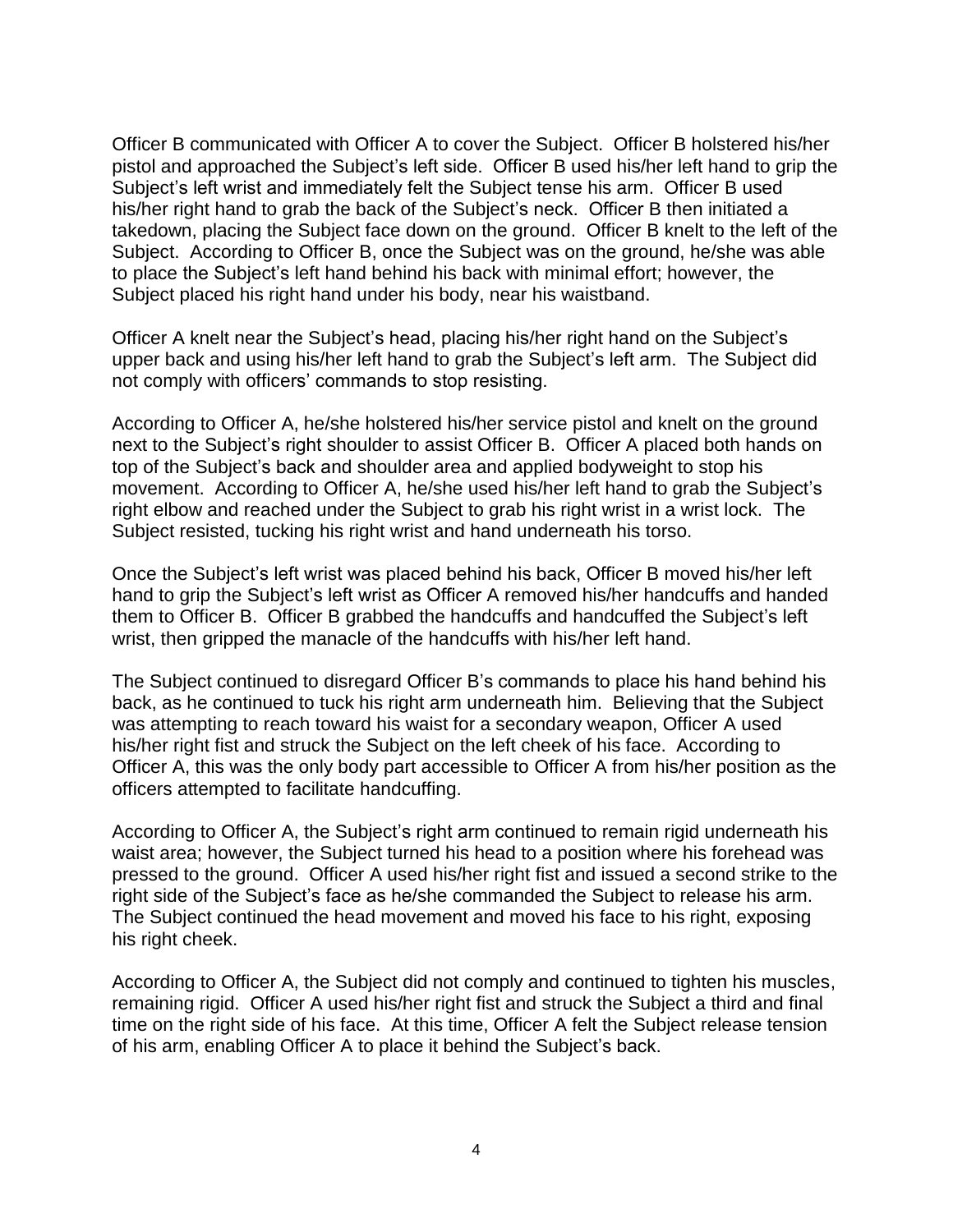Officer B communicated with Officer A to cover the Subject. Officer B holstered his/her pistol and approached the Subject's left side. Officer B used his/her left hand to grip the Subject's left wrist and immediately felt the Subject tense his arm. Officer B used his/her right hand to grab the back of the Subject's neck. Officer B then initiated a takedown, placing the Subject face down on the ground. Officer B knelt to the left of the Subject. According to Officer B, once the Subject was on the ground, he/she was able to place the Subject's left hand behind his back with minimal effort; however, the Subject placed his right hand under his body, near his waistband.

Officer A knelt near the Subject's head, placing his/her right hand on the Subject's upper back and using his/her left hand to grab the Subject's left arm. The Subject did not comply with officers' commands to stop resisting.

According to Officer A, he/she holstered his/her service pistol and knelt on the ground next to the Subject's right shoulder to assist Officer B. Officer A placed both hands on top of the Subject's back and shoulder area and applied bodyweight to stop his movement. According to Officer A, he/she used his/her left hand to grab the Subject's right elbow and reached under the Subject to grab his right wrist in a wrist lock. The Subject resisted, tucking his right wrist and hand underneath his torso.

Once the Subject's left wrist was placed behind his back, Officer B moved his/her left hand to grip the Subject's left wrist as Officer A removed his/her handcuffs and handed them to Officer B. Officer B grabbed the handcuffs and handcuffed the Subject's left wrist, then gripped the manacle of the handcuffs with his/her left hand.

The Subject continued to disregard Officer B's commands to place his hand behind his back, as he continued to tuck his right arm underneath him. Believing that the Subject was attempting to reach toward his waist for a secondary weapon, Officer A used his/her right fist and struck the Subject on the left cheek of his face. According to Officer A, this was the only body part accessible to Officer A from his/her position as the officers attempted to facilitate handcuffing.

According to Officer A, the Subject's right arm continued to remain rigid underneath his waist area; however, the Subject turned his head to a position where his forehead was pressed to the ground. Officer A used his/her right fist and issued a second strike to the right side of the Subject's face as he/she commanded the Subject to release his arm. The Subject continued the head movement and moved his face to his right, exposing his right cheek.

According to Officer A, the Subject did not comply and continued to tighten his muscles, remaining rigid. Officer A used his/her right fist and struck the Subject a third and final time on the right side of his face. At this time, Officer A felt the Subject release tension of his arm, enabling Officer A to place it behind the Subject's back.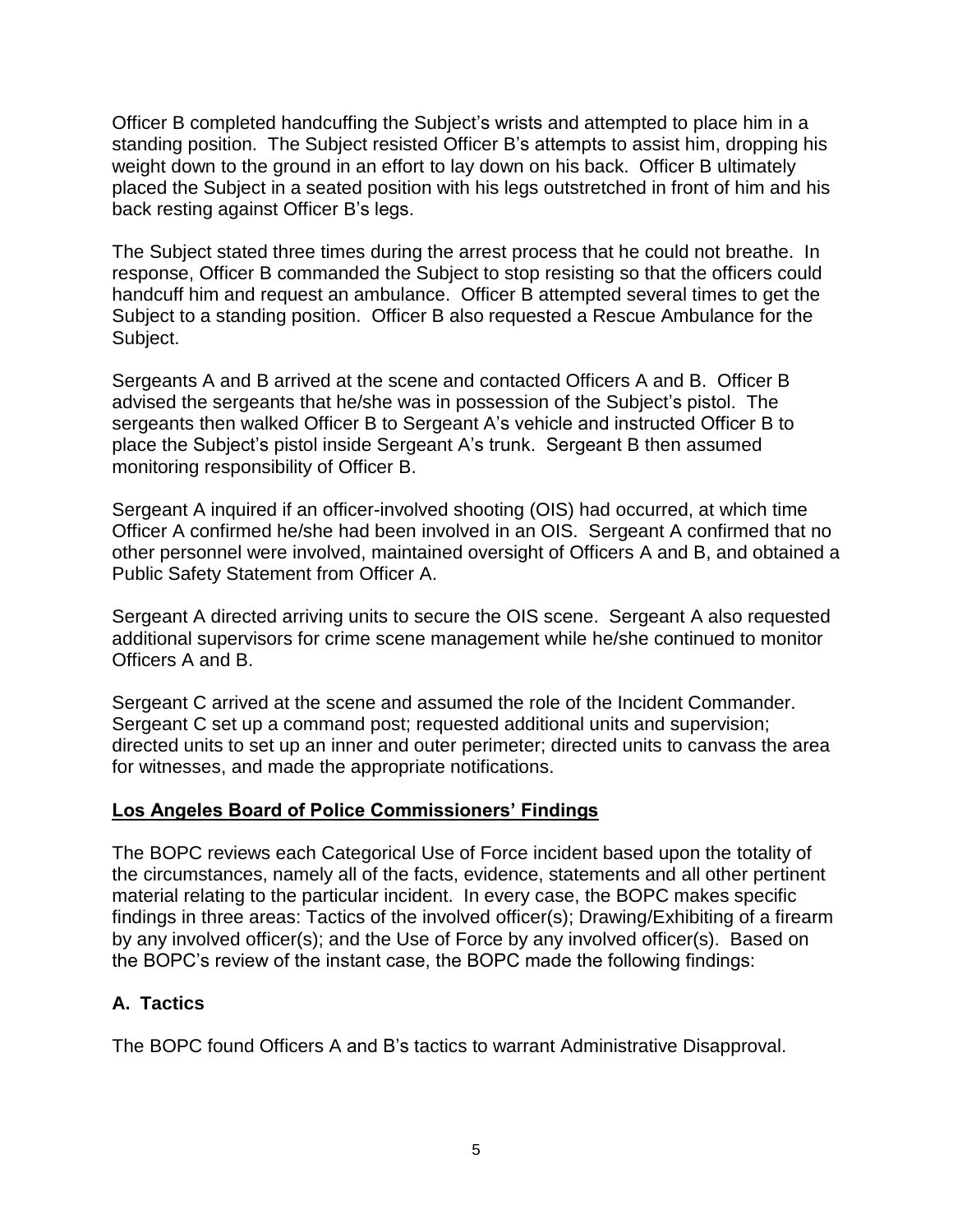Officer B completed handcuffing the Subject's wrists and attempted to place him in a standing position. The Subject resisted Officer B's attempts to assist him, dropping his weight down to the ground in an effort to lay down on his back. Officer B ultimately placed the Subject in a seated position with his legs outstretched in front of him and his back resting against Officer B's legs.

The Subject stated three times during the arrest process that he could not breathe. In response, Officer B commanded the Subject to stop resisting so that the officers could handcuff him and request an ambulance. Officer B attempted several times to get the Subject to a standing position. Officer B also requested a Rescue Ambulance for the Subject.

Sergeants A and B arrived at the scene and contacted Officers A and B. Officer B advised the sergeants that he/she was in possession of the Subject's pistol. The sergeants then walked Officer B to Sergeant A's vehicle and instructed Officer B to place the Subject's pistol inside Sergeant A's trunk. Sergeant B then assumed monitoring responsibility of Officer B.

Sergeant A inquired if an officer-involved shooting (OIS) had occurred, at which time Officer A confirmed he/she had been involved in an OIS. Sergeant A confirmed that no other personnel were involved, maintained oversight of Officers A and B, and obtained a Public Safety Statement from Officer A.

Sergeant A directed arriving units to secure the OIS scene. Sergeant A also requested additional supervisors for crime scene management while he/she continued to monitor Officers A and B.

Sergeant C arrived at the scene and assumed the role of the Incident Commander. Sergeant C set up a command post; requested additional units and supervision; directed units to set up an inner and outer perimeter; directed units to canvass the area for witnesses, and made the appropriate notifications.

#### **Los Angeles Board of Police Commissioners' Findings**

The BOPC reviews each Categorical Use of Force incident based upon the totality of the circumstances, namely all of the facts, evidence, statements and all other pertinent material relating to the particular incident. In every case, the BOPC makes specific findings in three areas: Tactics of the involved officer(s); Drawing/Exhibiting of a firearm by any involved officer(s); and the Use of Force by any involved officer(s). Based on the BOPC's review of the instant case, the BOPC made the following findings:

# **A. Tactics**

The BOPC found Officers A and B's tactics to warrant Administrative Disapproval.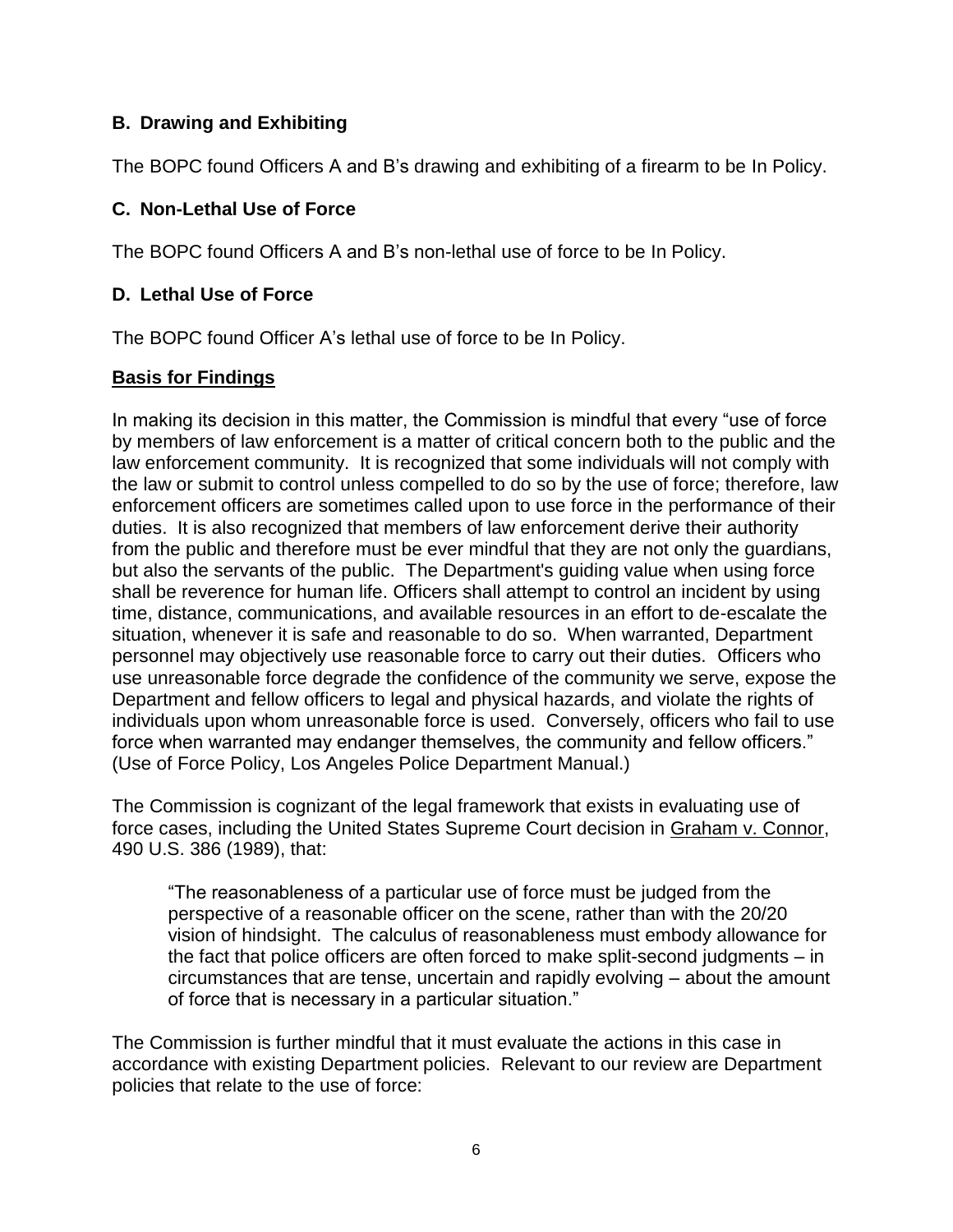# **B. Drawing and Exhibiting**

The BOPC found Officers A and B's drawing and exhibiting of a firearm to be In Policy.

### **C. Non-Lethal Use of Force**

The BOPC found Officers A and B's non-lethal use of force to be In Policy.

# **D. Lethal Use of Force**

The BOPC found Officer A's lethal use of force to be In Policy.

### **Basis for Findings**

In making its decision in this matter, the Commission is mindful that every "use of force by members of law enforcement is a matter of critical concern both to the public and the law enforcement community. It is recognized that some individuals will not comply with the law or submit to control unless compelled to do so by the use of force; therefore, law enforcement officers are sometimes called upon to use force in the performance of their duties. It is also recognized that members of law enforcement derive their authority from the public and therefore must be ever mindful that they are not only the guardians, but also the servants of the public. The Department's guiding value when using force shall be reverence for human life. Officers shall attempt to control an incident by using time, distance, communications, and available resources in an effort to de-escalate the situation, whenever it is safe and reasonable to do so. When warranted, Department personnel may objectively use reasonable force to carry out their duties. Officers who use unreasonable force degrade the confidence of the community we serve, expose the Department and fellow officers to legal and physical hazards, and violate the rights of individuals upon whom unreasonable force is used. Conversely, officers who fail to use force when warranted may endanger themselves, the community and fellow officers." (Use of Force Policy, Los Angeles Police Department Manual.)

The Commission is cognizant of the legal framework that exists in evaluating use of force cases, including the United States Supreme Court decision in Graham v. Connor, 490 U.S. 386 (1989), that:

"The reasonableness of a particular use of force must be judged from the perspective of a reasonable officer on the scene, rather than with the 20/20 vision of hindsight. The calculus of reasonableness must embody allowance for the fact that police officers are often forced to make split-second judgments – in circumstances that are tense, uncertain and rapidly evolving – about the amount of force that is necessary in a particular situation."

The Commission is further mindful that it must evaluate the actions in this case in accordance with existing Department policies. Relevant to our review are Department policies that relate to the use of force: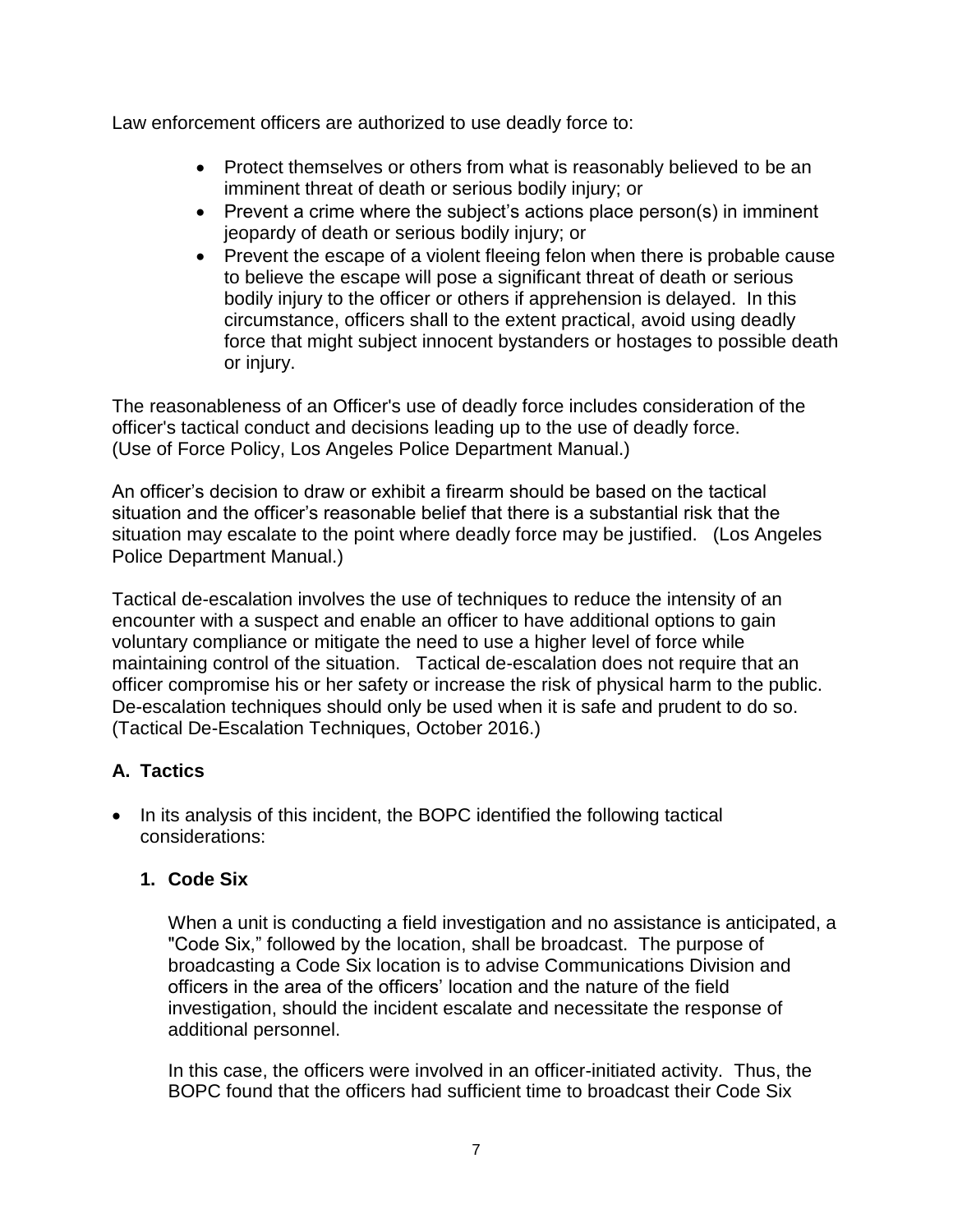Law enforcement officers are authorized to use deadly force to:

- Protect themselves or others from what is reasonably believed to be an imminent threat of death or serious bodily injury; or
- Prevent a crime where the subject's actions place person(s) in imminent jeopardy of death or serious bodily injury; or
- Prevent the escape of a violent fleeing felon when there is probable cause to believe the escape will pose a significant threat of death or serious bodily injury to the officer or others if apprehension is delayed. In this circumstance, officers shall to the extent practical, avoid using deadly force that might subject innocent bystanders or hostages to possible death or injury.

The reasonableness of an Officer's use of deadly force includes consideration of the officer's tactical conduct and decisions leading up to the use of deadly force. (Use of Force Policy, Los Angeles Police Department Manual.)

An officer's decision to draw or exhibit a firearm should be based on the tactical situation and the officer's reasonable belief that there is a substantial risk that the situation may escalate to the point where deadly force may be justified. (Los Angeles Police Department Manual.)

Tactical de-escalation involves the use of techniques to reduce the intensity of an encounter with a suspect and enable an officer to have additional options to gain voluntary compliance or mitigate the need to use a higher level of force while maintaining control of the situation. Tactical de-escalation does not require that an officer compromise his or her safety or increase the risk of physical harm to the public. De-escalation techniques should only be used when it is safe and prudent to do so. (Tactical De-Escalation Techniques, October 2016.)

# **A. Tactics**

• In its analysis of this incident, the BOPC identified the following tactical considerations:

# **1. Code Six**

When a unit is conducting a field investigation and no assistance is anticipated, a "Code Six," followed by the location, shall be broadcast. The purpose of broadcasting a Code Six location is to advise Communications Division and officers in the area of the officers' location and the nature of the field investigation, should the incident escalate and necessitate the response of additional personnel.

In this case, the officers were involved in an officer-initiated activity. Thus, the BOPC found that the officers had sufficient time to broadcast their Code Six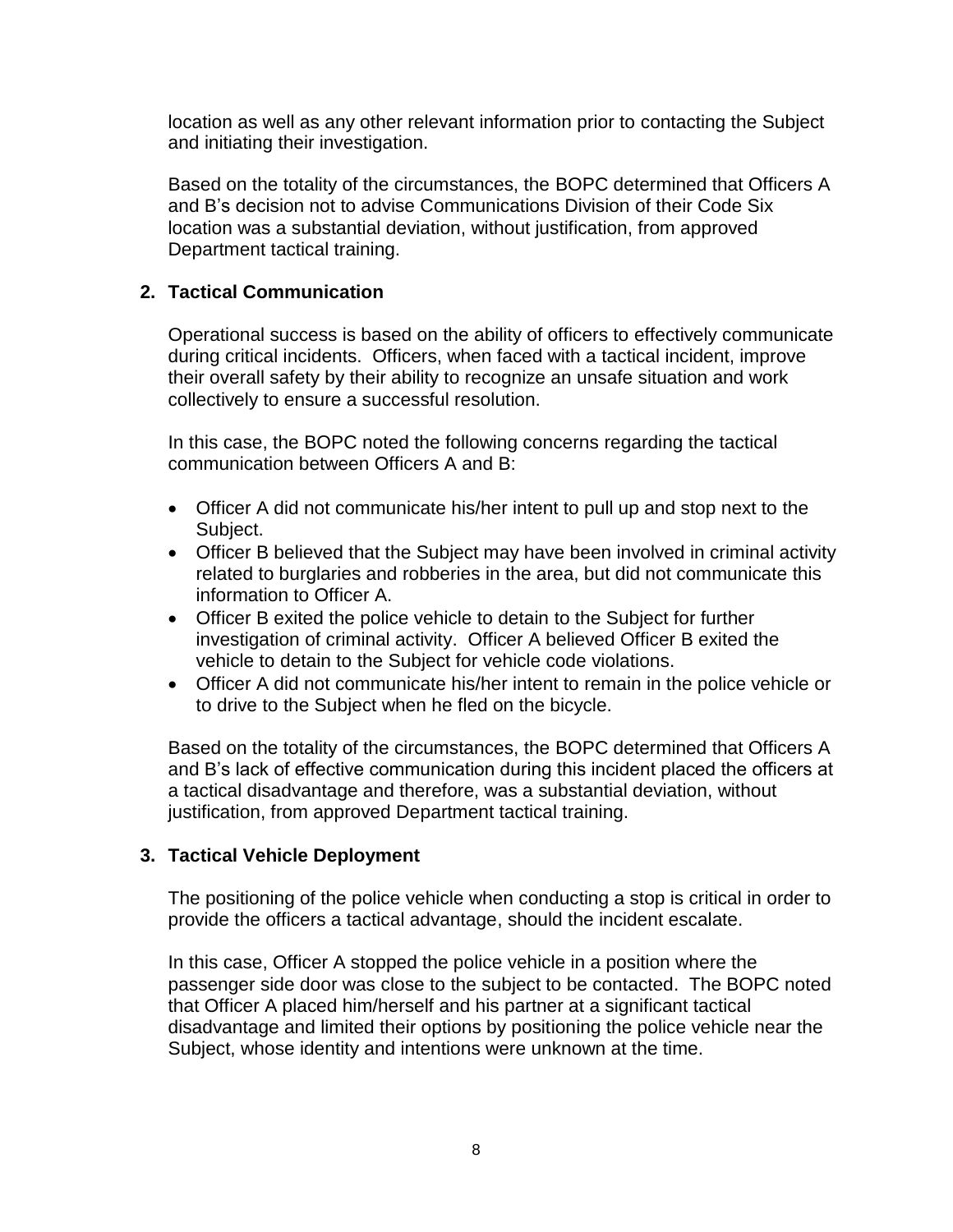location as well as any other relevant information prior to contacting the Subject and initiating their investigation.

Based on the totality of the circumstances, the BOPC determined that Officers A and B's decision not to advise Communications Division of their Code Six location was a substantial deviation, without justification, from approved Department tactical training.

# **2. Tactical Communication**

Operational success is based on the ability of officers to effectively communicate during critical incidents. Officers, when faced with a tactical incident, improve their overall safety by their ability to recognize an unsafe situation and work collectively to ensure a successful resolution.

In this case, the BOPC noted the following concerns regarding the tactical communication between Officers A and B:

- Officer A did not communicate his/her intent to pull up and stop next to the Subject.
- Officer B believed that the Subject may have been involved in criminal activity related to burglaries and robberies in the area, but did not communicate this information to Officer A.
- Officer B exited the police vehicle to detain to the Subject for further investigation of criminal activity. Officer A believed Officer B exited the vehicle to detain to the Subject for vehicle code violations.
- Officer A did not communicate his/her intent to remain in the police vehicle or to drive to the Subject when he fled on the bicycle.

Based on the totality of the circumstances, the BOPC determined that Officers A and B's lack of effective communication during this incident placed the officers at a tactical disadvantage and therefore, was a substantial deviation, without justification, from approved Department tactical training.

#### **3. Tactical Vehicle Deployment**

The positioning of the police vehicle when conducting a stop is critical in order to provide the officers a tactical advantage, should the incident escalate.

In this case, Officer A stopped the police vehicle in a position where the passenger side door was close to the subject to be contacted. The BOPC noted that Officer A placed him/herself and his partner at a significant tactical disadvantage and limited their options by positioning the police vehicle near the Subject, whose identity and intentions were unknown at the time.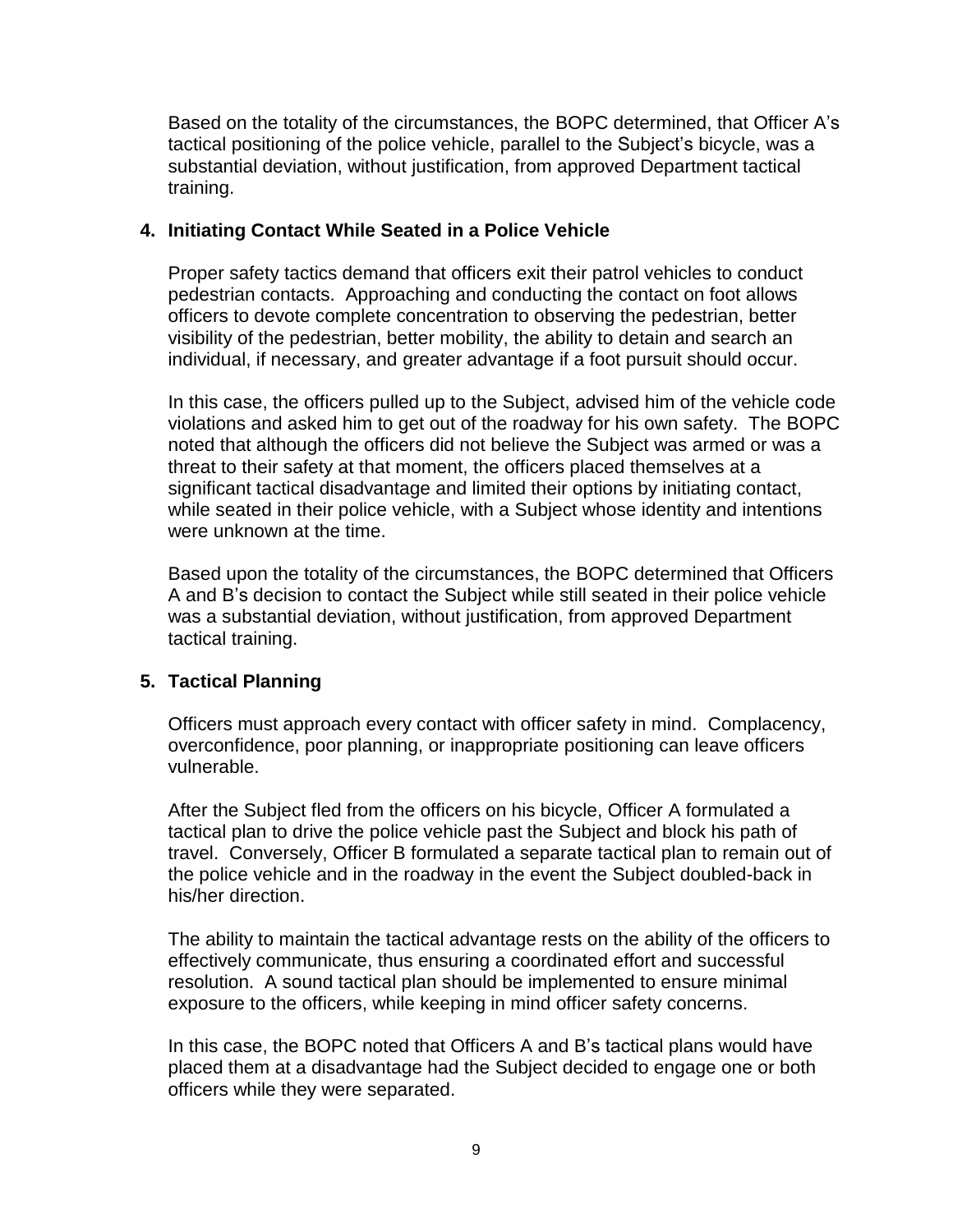Based on the totality of the circumstances, the BOPC determined, that Officer A's tactical positioning of the police vehicle, parallel to the Subject's bicycle, was a substantial deviation, without justification, from approved Department tactical training.

# **4. Initiating Contact While Seated in a Police Vehicle**

Proper safety tactics demand that officers exit their patrol vehicles to conduct pedestrian contacts. Approaching and conducting the contact on foot allows officers to devote complete concentration to observing the pedestrian, better visibility of the pedestrian, better mobility, the ability to detain and search an individual, if necessary, and greater advantage if a foot pursuit should occur.

In this case, the officers pulled up to the Subject, advised him of the vehicle code violations and asked him to get out of the roadway for his own safety. The BOPC noted that although the officers did not believe the Subject was armed or was a threat to their safety at that moment, the officers placed themselves at a significant tactical disadvantage and limited their options by initiating contact, while seated in their police vehicle, with a Subject whose identity and intentions were unknown at the time.

Based upon the totality of the circumstances, the BOPC determined that Officers A and B's decision to contact the Subject while still seated in their police vehicle was a substantial deviation, without justification, from approved Department tactical training.

#### **5. Tactical Planning**

Officers must approach every contact with officer safety in mind. Complacency, overconfidence, poor planning, or inappropriate positioning can leave officers vulnerable.

After the Subject fled from the officers on his bicycle, Officer A formulated a tactical plan to drive the police vehicle past the Subject and block his path of travel. Conversely, Officer B formulated a separate tactical plan to remain out of the police vehicle and in the roadway in the event the Subject doubled-back in his/her direction.

The ability to maintain the tactical advantage rests on the ability of the officers to effectively communicate, thus ensuring a coordinated effort and successful resolution. A sound tactical plan should be implemented to ensure minimal exposure to the officers, while keeping in mind officer safety concerns.

In this case, the BOPC noted that Officers A and B's tactical plans would have placed them at a disadvantage had the Subject decided to engage one or both officers while they were separated.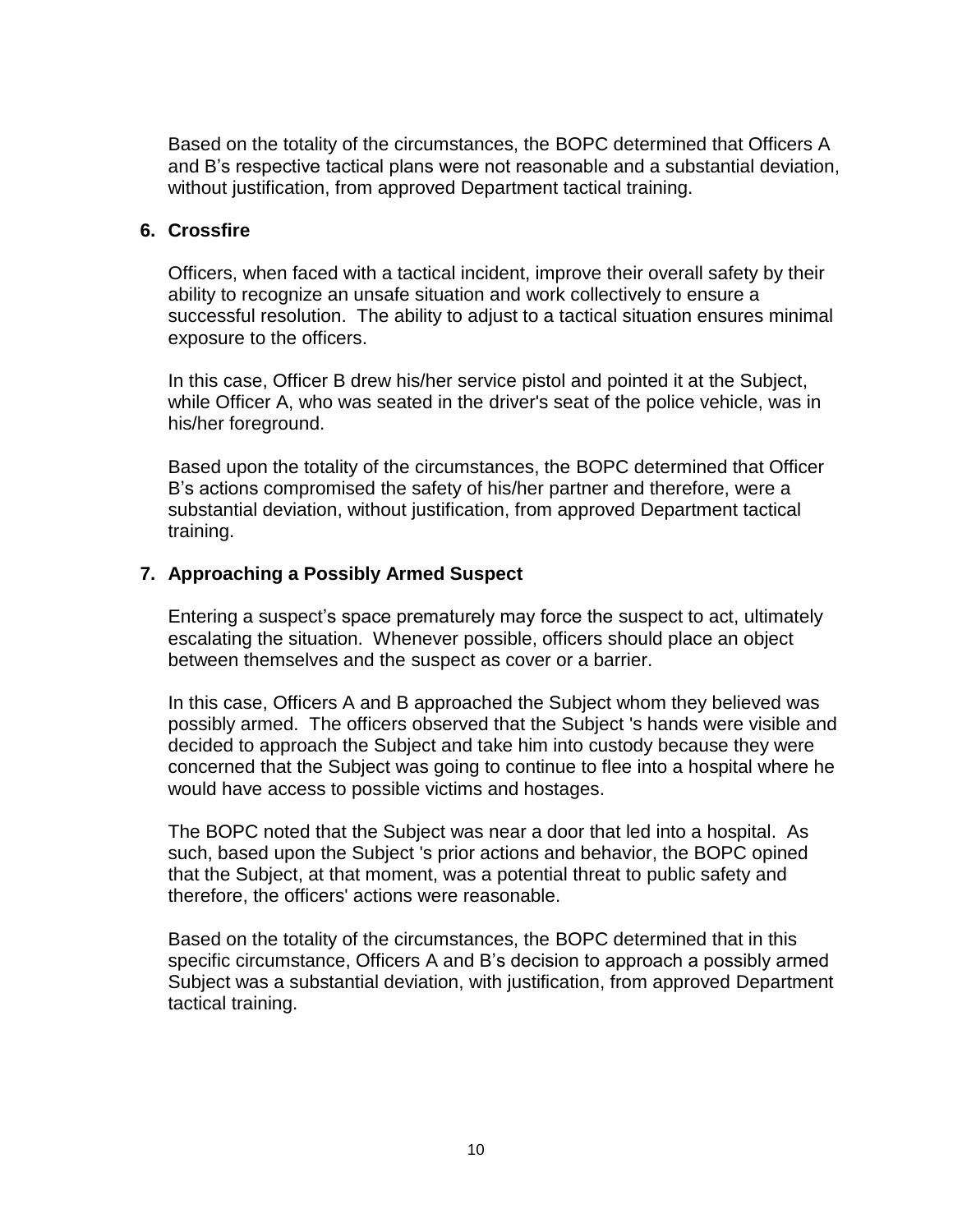Based on the totality of the circumstances, the BOPC determined that Officers A and B's respective tactical plans were not reasonable and a substantial deviation, without justification, from approved Department tactical training.

#### **6. Crossfire**

Officers, when faced with a tactical incident, improve their overall safety by their ability to recognize an unsafe situation and work collectively to ensure a successful resolution. The ability to adjust to a tactical situation ensures minimal exposure to the officers.

In this case, Officer B drew his/her service pistol and pointed it at the Subject, while Officer A, who was seated in the driver's seat of the police vehicle, was in his/her foreground.

Based upon the totality of the circumstances, the BOPC determined that Officer B's actions compromised the safety of his/her partner and therefore, were a substantial deviation, without justification, from approved Department tactical training.

### **7. Approaching a Possibly Armed Suspect**

Entering a suspect's space prematurely may force the suspect to act, ultimately escalating the situation. Whenever possible, officers should place an object between themselves and the suspect as cover or a barrier.

In this case, Officers A and B approached the Subject whom they believed was possibly armed. The officers observed that the Subject 's hands were visible and decided to approach the Subject and take him into custody because they were concerned that the Subject was going to continue to flee into a hospital where he would have access to possible victims and hostages.

The BOPC noted that the Subject was near a door that led into a hospital. As such, based upon the Subject 's prior actions and behavior, the BOPC opined that the Subject, at that moment, was a potential threat to public safety and therefore, the officers' actions were reasonable.

Based on the totality of the circumstances, the BOPC determined that in this specific circumstance, Officers A and B's decision to approach a possibly armed Subject was a substantial deviation, with justification, from approved Department tactical training.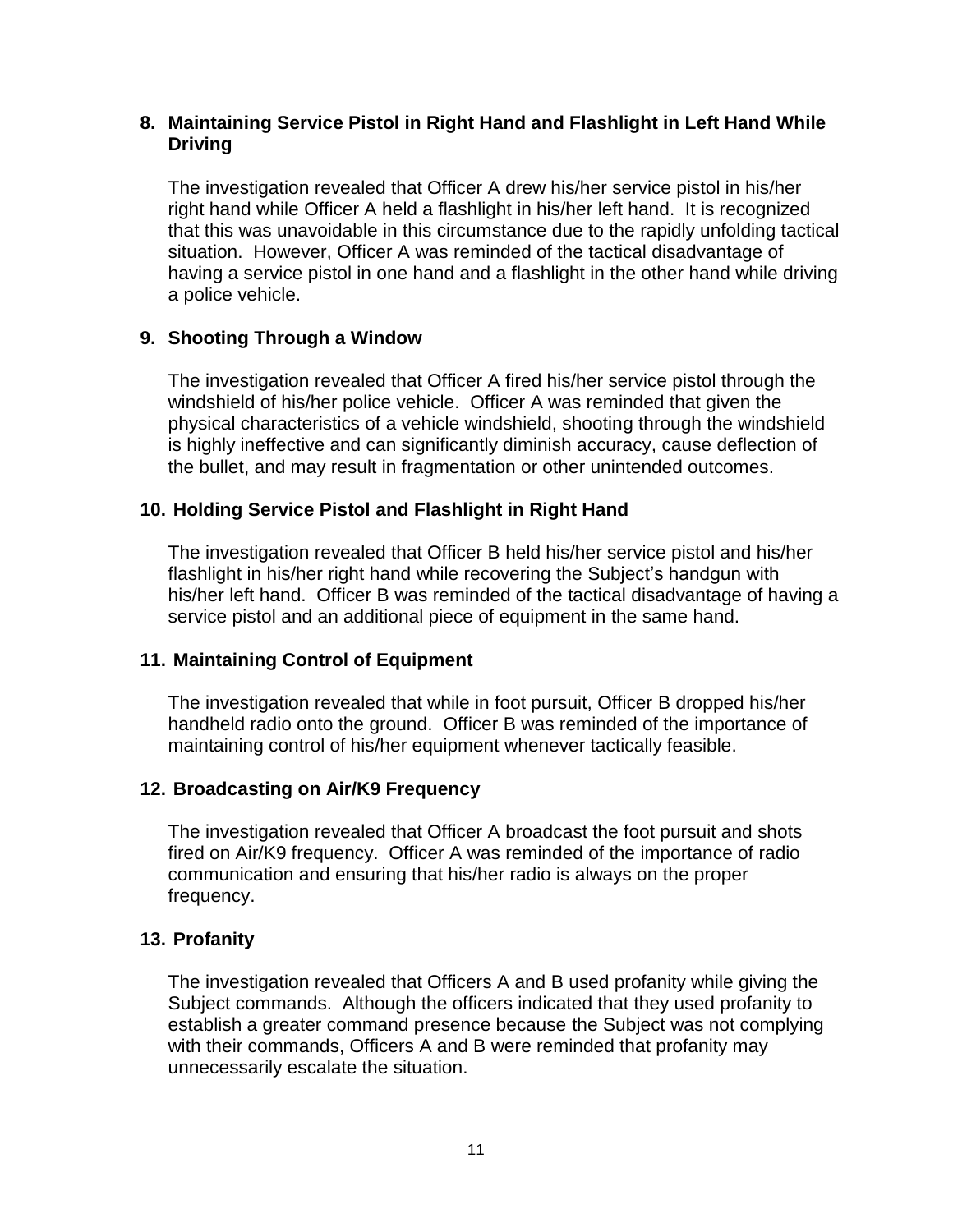### **8. Maintaining Service Pistol in Right Hand and Flashlight in Left Hand While Driving**

The investigation revealed that Officer A drew his/her service pistol in his/her right hand while Officer A held a flashlight in his/her left hand. It is recognized that this was unavoidable in this circumstance due to the rapidly unfolding tactical situation. However, Officer A was reminded of the tactical disadvantage of having a service pistol in one hand and a flashlight in the other hand while driving a police vehicle.

# **9. Shooting Through a Window**

The investigation revealed that Officer A fired his/her service pistol through the windshield of his/her police vehicle. Officer A was reminded that given the physical characteristics of a vehicle windshield, shooting through the windshield is highly ineffective and can significantly diminish accuracy, cause deflection of the bullet, and may result in fragmentation or other unintended outcomes.

### **10. Holding Service Pistol and Flashlight in Right Hand**

The investigation revealed that Officer B held his/her service pistol and his/her flashlight in his/her right hand while recovering the Subject's handgun with his/her left hand. Officer B was reminded of the tactical disadvantage of having a service pistol and an additional piece of equipment in the same hand.

#### **11. Maintaining Control of Equipment**

The investigation revealed that while in foot pursuit, Officer B dropped his/her handheld radio onto the ground. Officer B was reminded of the importance of maintaining control of his/her equipment whenever tactically feasible.

#### **12. Broadcasting on Air/K9 Frequency**

The investigation revealed that Officer A broadcast the foot pursuit and shots fired on Air/K9 frequency. Officer A was reminded of the importance of radio communication and ensuring that his/her radio is always on the proper frequency.

#### **13. Profanity**

The investigation revealed that Officers A and B used profanity while giving the Subject commands. Although the officers indicated that they used profanity to establish a greater command presence because the Subject was not complying with their commands, Officers A and B were reminded that profanity may unnecessarily escalate the situation.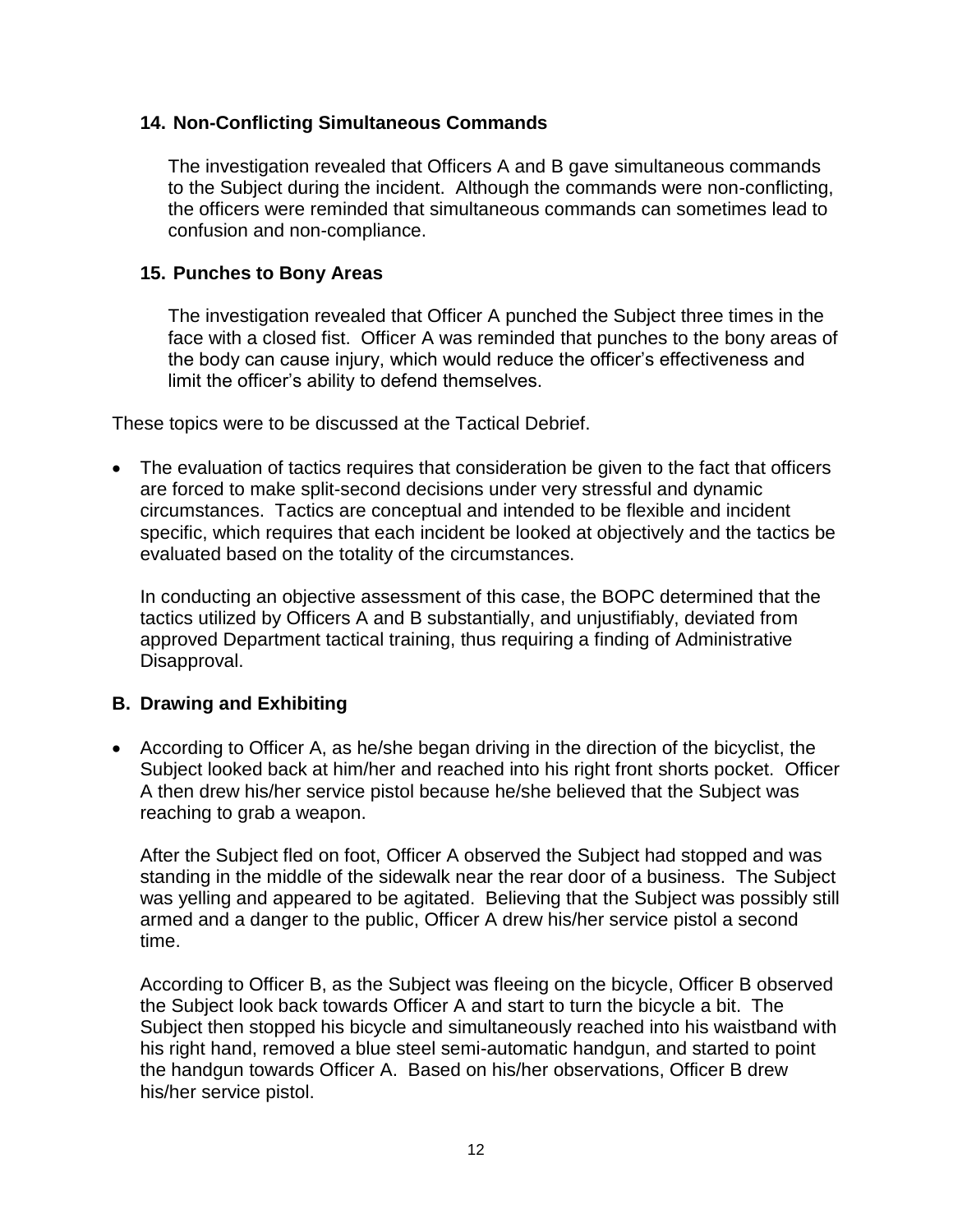### **14. Non-Conflicting Simultaneous Commands**

The investigation revealed that Officers A and B gave simultaneous commands to the Subject during the incident. Although the commands were non-conflicting, the officers were reminded that simultaneous commands can sometimes lead to confusion and non-compliance.

### **15. Punches to Bony Areas**

The investigation revealed that Officer A punched the Subject three times in the face with a closed fist. Officer A was reminded that punches to the bony areas of the body can cause injury, which would reduce the officer's effectiveness and limit the officer's ability to defend themselves.

These topics were to be discussed at the Tactical Debrief.

• The evaluation of tactics requires that consideration be given to the fact that officers are forced to make split-second decisions under very stressful and dynamic circumstances. Tactics are conceptual and intended to be flexible and incident specific, which requires that each incident be looked at objectively and the tactics be evaluated based on the totality of the circumstances.

In conducting an objective assessment of this case, the BOPC determined that the tactics utilized by Officers A and B substantially, and unjustifiably, deviated from approved Department tactical training, thus requiring a finding of Administrative Disapproval.

# **B. Drawing and Exhibiting**

• According to Officer A, as he/she began driving in the direction of the bicyclist, the Subject looked back at him/her and reached into his right front shorts pocket. Officer A then drew his/her service pistol because he/she believed that the Subject was reaching to grab a weapon.

After the Subject fled on foot, Officer A observed the Subject had stopped and was standing in the middle of the sidewalk near the rear door of a business. The Subject was yelling and appeared to be agitated. Believing that the Subject was possibly still armed and a danger to the public, Officer A drew his/her service pistol a second time.

According to Officer B, as the Subject was fleeing on the bicycle, Officer B observed the Subject look back towards Officer A and start to turn the bicycle a bit. The Subject then stopped his bicycle and simultaneously reached into his waistband with his right hand, removed a blue steel semi-automatic handgun, and started to point the handgun towards Officer A. Based on his/her observations, Officer B drew his/her service pistol.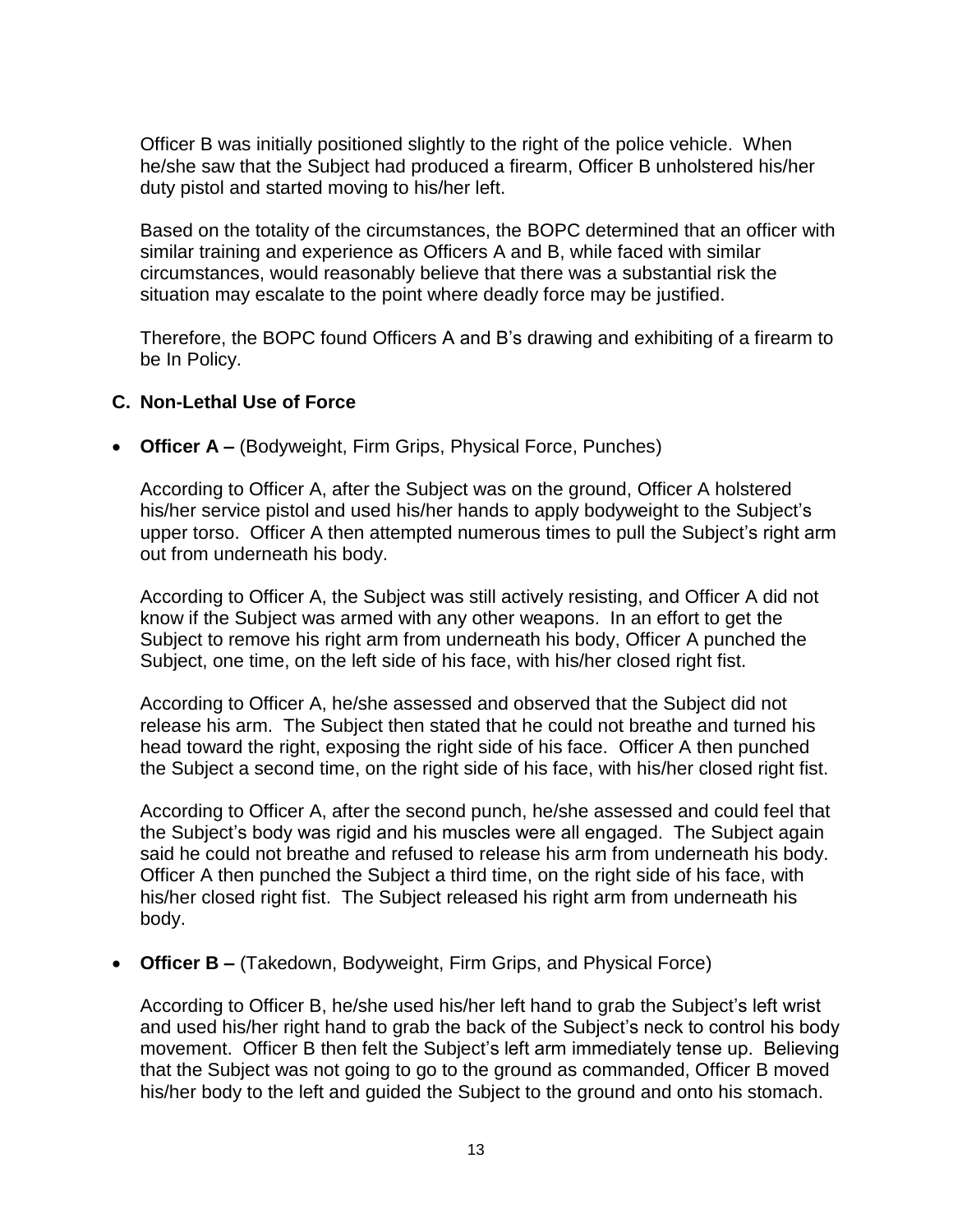Officer B was initially positioned slightly to the right of the police vehicle. When he/she saw that the Subject had produced a firearm, Officer B unholstered his/her duty pistol and started moving to his/her left.

Based on the totality of the circumstances, the BOPC determined that an officer with similar training and experience as Officers A and B, while faced with similar circumstances, would reasonably believe that there was a substantial risk the situation may escalate to the point where deadly force may be justified.

Therefore, the BOPC found Officers A and B's drawing and exhibiting of a firearm to be In Policy.

### **C. Non-Lethal Use of Force**

• **Officer A –** (Bodyweight, Firm Grips, Physical Force, Punches)

According to Officer A, after the Subject was on the ground, Officer A holstered his/her service pistol and used his/her hands to apply bodyweight to the Subject's upper torso. Officer A then attempted numerous times to pull the Subject's right arm out from underneath his body.

According to Officer A, the Subject was still actively resisting, and Officer A did not know if the Subject was armed with any other weapons. In an effort to get the Subject to remove his right arm from underneath his body, Officer A punched the Subject, one time, on the left side of his face, with his/her closed right fist.

According to Officer A, he/she assessed and observed that the Subject did not release his arm. The Subject then stated that he could not breathe and turned his head toward the right, exposing the right side of his face. Officer A then punched the Subject a second time, on the right side of his face, with his/her closed right fist.

According to Officer A, after the second punch, he/she assessed and could feel that the Subject's body was rigid and his muscles were all engaged. The Subject again said he could not breathe and refused to release his arm from underneath his body. Officer A then punched the Subject a third time, on the right side of his face, with his/her closed right fist. The Subject released his right arm from underneath his body.

• **Officer B –** (Takedown, Bodyweight, Firm Grips, and Physical Force)

According to Officer B, he/she used his/her left hand to grab the Subject's left wrist and used his/her right hand to grab the back of the Subject's neck to control his body movement. Officer B then felt the Subject's left arm immediately tense up. Believing that the Subject was not going to go to the ground as commanded, Officer B moved his/her body to the left and guided the Subject to the ground and onto his stomach.